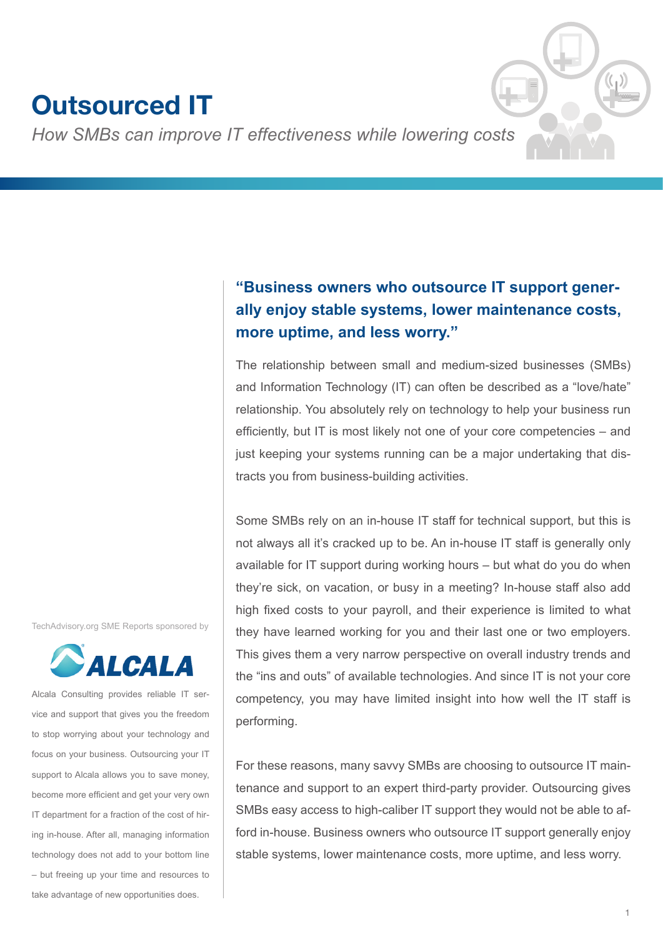# **Outsourced IT**

*How SMBs can improve IT effectiveness while lowering costs*

# **"Business owners who outsource IT support generally enjoy stable systems, lower maintenance costs, more uptime, and less worry."**

The relationship between small and medium-sized businesses (SMBs) and Information Technology (IT) can often be described as a "love/hate" relationship. You absolutely rely on technology to help your business run efficiently, but IT is most likely not one of your core competencies – and just keeping your systems running can be a major undertaking that distracts you from business-building activities.

Some SMBs rely on an in-house IT staff for technical support, but this is not always all it's cracked up to be. An in-house IT staff is generally only available for IT support during working hours – but what do you do when they're sick, on vacation, or busy in a meeting? In-house staff also add high fixed costs to your payroll, and their experience is limited to what they have learned working for you and their last one or two employers. This gives them a very narrow perspective on overall industry trends and the "ins and outs" of available technologies. And since IT is not your core competency, you may have limited insight into how well the IT staff is performing.

For these reasons, many savvy SMBs are choosing to outsource IT maintenance and support to an expert third-party provider. Outsourcing gives SMBs easy access to high-caliber IT support they would not be able to afford in-house. Business owners who outsource IT support generally enjoy stable systems, lower maintenance costs, more uptime, and less worry.

TechAdvisory.org SME Reports sponsored by



Alcala Consulting provides reliable IT service and support that gives you the freedom to stop worrying about your technology and focus on your business. Outsourcing your IT support to Alcala allows you to save money, become more efficient and get your very own IT department for a fraction of the cost of hiring in-house. After all, managing information technology does not add to your bottom line – but freeing up your time and resources to take advantage of new opportunities does.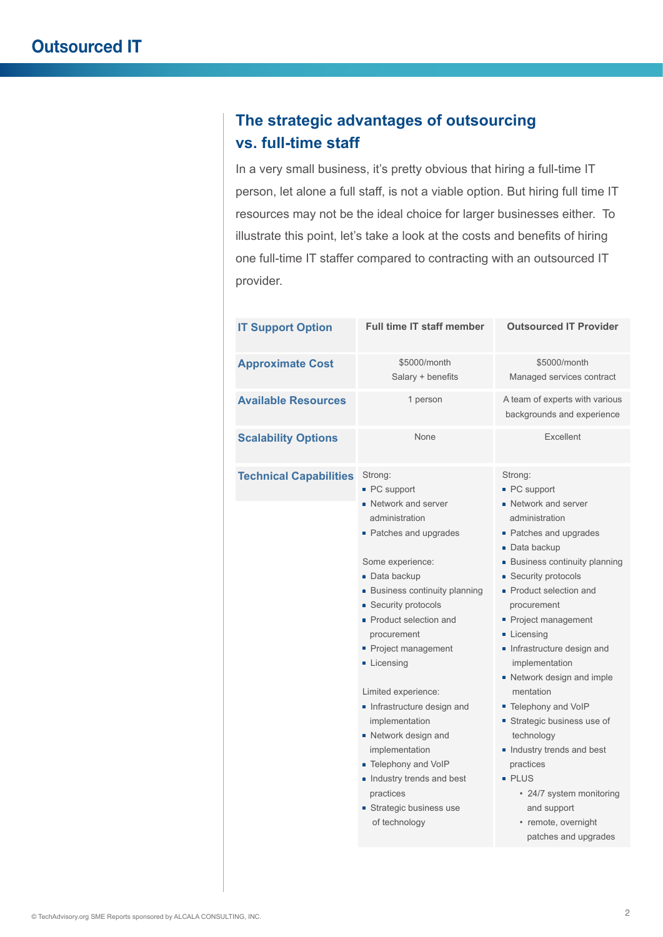# **The strategic advantages of outsourcing vs. full-time staff**

In a very small business, it's pretty obvious that hiring a full-time IT person, let alone a full staff, is not a viable option. But hiring full time IT resources may not be the ideal choice for larger businesses either. To illustrate this point, let's take a look at the costs and benefits of hiring one full-time IT staffer compared to contracting with an outsourced IT provider.

| <b>IT Support Option</b>      | <b>Full time IT staff member</b>                                                                                                                                                                                                                                                                                                                                                                                                                                                                        | <b>Outsourced IT Provider</b>                                                                                                                                                                                                                                                                                                                                                                                                                                                                                                                                         |
|-------------------------------|---------------------------------------------------------------------------------------------------------------------------------------------------------------------------------------------------------------------------------------------------------------------------------------------------------------------------------------------------------------------------------------------------------------------------------------------------------------------------------------------------------|-----------------------------------------------------------------------------------------------------------------------------------------------------------------------------------------------------------------------------------------------------------------------------------------------------------------------------------------------------------------------------------------------------------------------------------------------------------------------------------------------------------------------------------------------------------------------|
| <b>Approximate Cost</b>       | \$5000/month<br>Salary + benefits                                                                                                                                                                                                                                                                                                                                                                                                                                                                       | \$5000/month<br>Managed services contract                                                                                                                                                                                                                                                                                                                                                                                                                                                                                                                             |
| <b>Available Resources</b>    | 1 person                                                                                                                                                                                                                                                                                                                                                                                                                                                                                                | A team of experts with various<br>backgrounds and experience                                                                                                                                                                                                                                                                                                                                                                                                                                                                                                          |
| <b>Scalability Options</b>    | None                                                                                                                                                                                                                                                                                                                                                                                                                                                                                                    | Excellent                                                                                                                                                                                                                                                                                                                                                                                                                                                                                                                                                             |
| <b>Technical Capabilities</b> | Strong:<br>• PC support<br>■ Network and server<br>administration<br>• Patches and upgrades<br>Some experience:<br>■ Data backup<br>■ Business continuity planning<br>■ Security protocols<br>• Product selection and<br>procurement<br>■ Project management<br>Licensing<br>Limited experience:<br>Infrastructure design and<br>implementation<br>■ Network design and<br>implementation<br>■ Telephony and VoIP<br>Industry trends and best<br>practices<br>■ Strategic business use<br>of technology | Strong:<br>■ PC support<br>■ Network and server<br>administration<br>• Patches and upgrades<br>■ Data backup<br><b>Business continuity planning</b><br>■ Security protocols<br>• Product selection and<br>procurement<br>Project management<br>Licensing<br>Infrastructure design and<br>implementation<br>Network design and imple<br>mentation<br>■ Telephony and VoIP<br>Strategic business use of<br>technology<br>Industry trends and best<br>practices<br><b>PLUS</b><br>• 24/7 system monitoring<br>and support<br>· remote, overnight<br>patches and upgrades |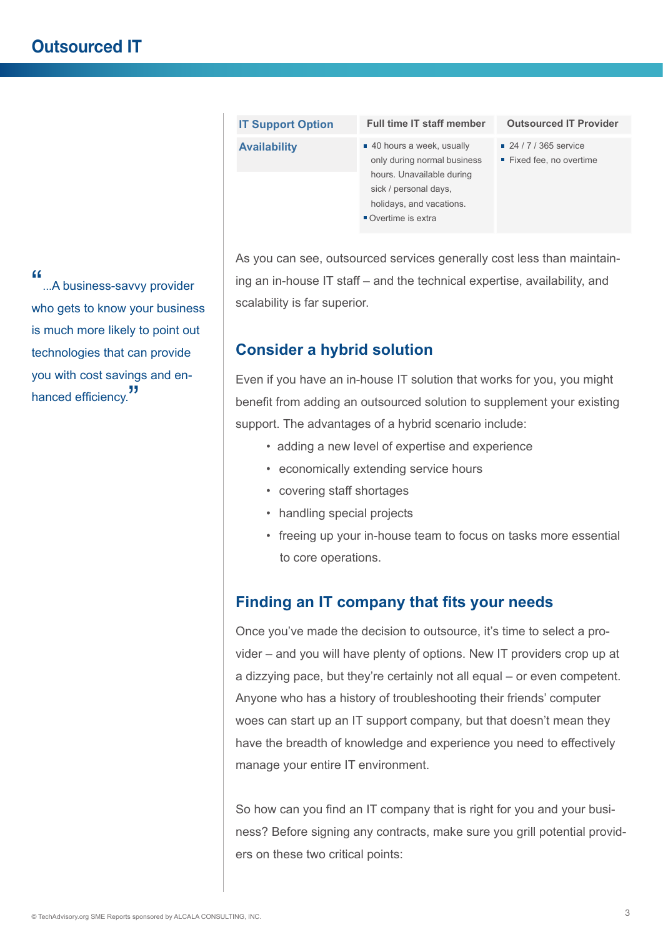| ■ 40 hours a week, usually<br>■ 24 / 7 / 365 service<br><b>Availability</b><br>only during normal business<br>Fixed fee, no overtime<br>hours. Unavailable during | <b>Outsourced IT Provider</b> |
|-------------------------------------------------------------------------------------------------------------------------------------------------------------------|-------------------------------|
| sick / personal days,<br>holidays, and vacations.<br>$\blacksquare$ Overtime is extra                                                                             |                               |

As you can see, outsourced services generally cost less than maintaining an in-house IT staff – and the technical expertise, availability, and scalability is far superior.

### **Consider a hybrid solution**

Even if you have an in-house IT solution that works for you, you might benefit from adding an outsourced solution to supplement your existing support. The advantages of a hybrid scenario include:

- adding a new level of expertise and experience
- economically extending service hours
- covering staff shortages
- handling special projects
- freeing up your in-house team to focus on tasks more essential to core operations.

### **Finding an IT company that fits your needs**

Once you've made the decision to outsource, it's time to select a provider – and you will have plenty of options. New IT providers crop up at a dizzying pace, but they're certainly not all equal – or even competent. Anyone who has a history of troubleshooting their friends' computer woes can start up an IT support company, but that doesn't mean they have the breadth of knowledge and experience you need to effectively manage your entire IT environment.

So how can you find an IT company that is right for you and your business? Before signing any contracts, make sure you grill potential providers on these two critical points:

"...A business-savvy provider who gets to know your business is much more likely to point out technologies that can provide you with cost savings and enhanced efficiency.<sup>"</sup>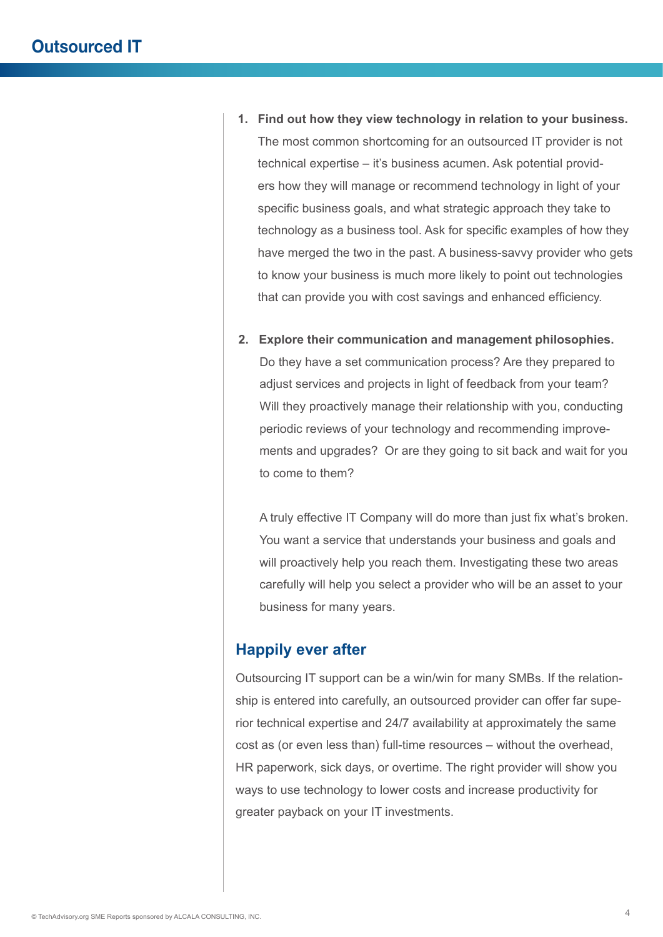- **1. Find out how they view technology in relation to your business.** The most common shortcoming for an outsourced IT provider is not technical expertise – it's business acumen. Ask potential providers how they will manage or recommend technology in light of your specific business goals, and what strategic approach they take to technology as a business tool. Ask for specific examples of how they have merged the two in the past. A business-savvy provider who gets to know your business is much more likely to point out technologies that can provide you with cost savings and enhanced efficiency.
- **2. Explore their communication and management philosophies.** Do they have a set communication process? Are they prepared to adjust services and projects in light of feedback from your team? Will they proactively manage their relationship with you, conducting periodic reviews of your technology and recommending improvements and upgrades? Or are they going to sit back and wait for you to come to them?

A truly effective IT Company will do more than just fix what's broken. You want a service that understands your business and goals and will proactively help you reach them. Investigating these two areas carefully will help you select a provider who will be an asset to your business for many years.

#### **Happily ever after**

Outsourcing IT support can be a win/win for many SMBs. If the relationship is entered into carefully, an outsourced provider can offer far superior technical expertise and 24/7 availability at approximately the same cost as (or even less than) full-time resources – without the overhead, HR paperwork, sick days, or overtime. The right provider will show you ways to use technology to lower costs and increase productivity for greater payback on your IT investments.